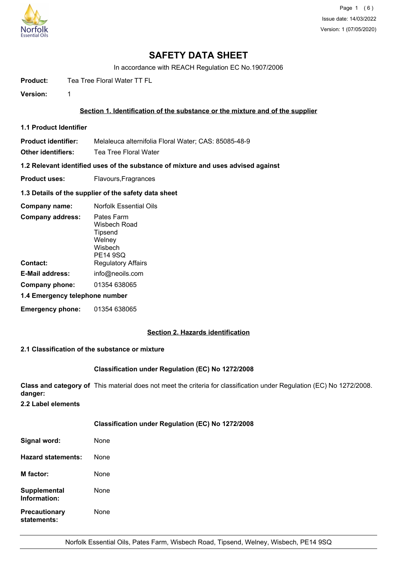

# **SAFETY DATA SHEET**

In accordance with REACH Regulation EC No.1907/2006

**Product:** Tea Tree Floral Water TT FL

**Version:** 1

## **Section 1. Identification of the substance or the mixture and of the supplier**

**1.1 Product Identifier**

**Product identifier:** Melaleuca alternifolia Floral Water; CAS: 85085-48-9

**Other identifiers:** Tea Tree Floral Water

**1.2 Relevant identified uses of the substance of mixture and uses advised against**

**Product uses:** Flavours, Fragrances

#### **1.3 Details of the supplier of the safety data sheet**

| Company name:                  | <b>Norfolk Essential Oils</b>                                          |  |
|--------------------------------|------------------------------------------------------------------------|--|
| <b>Company address:</b>        | Pates Farm<br>Wisbech Road<br>Tipsend<br>Welney<br>Wisbech<br>PE14 9SQ |  |
| Contact:                       | <b>Regulatory Affairs</b>                                              |  |
| <b>E-Mail address:</b>         | info@neoils.com                                                        |  |
| Company phone:                 | 01354 638065                                                           |  |
| 1.4 Emergency telephone number |                                                                        |  |
| <b>Emergency phone:</b>        | 01354 638065                                                           |  |

## **Section 2. Hazards identification**

## **2.1 Classification of the substance or mixture**

## **Classification under Regulation (EC) No 1272/2008**

**Class and category of** This material does not meet the criteria for classification under Regulation (EC) No 1272/2008. **danger:**

**2.2 Label elements**

## **Classification under Regulation (EC) No 1272/2008**

| Signal word:                        | None |
|-------------------------------------|------|
| Hazard statements:                  | None |
| <b>M</b> factor:                    | None |
| <b>Supplemental</b><br>Information: | None |
| <b>Precautionary</b><br>statements: | None |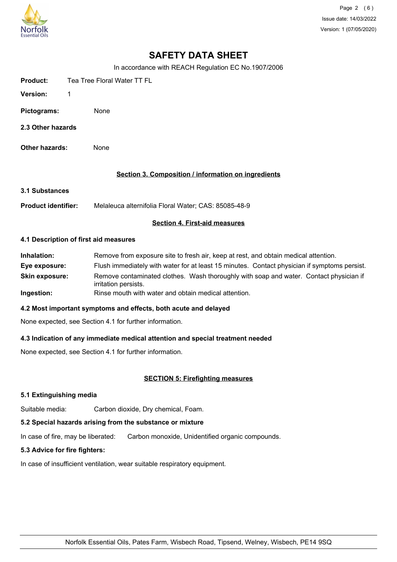

Page 2 (6) Issue date: 14/03/2022 Version: 1 (07/05/2020)

## **SAFETY DATA SHEET**

In accordance with REACH Regulation EC No.1907/2006

| <b>Product:</b>   | Tea Tree Floral Water TT FL |
|-------------------|-----------------------------|
| <b>Version:</b>   | 1.                          |
| Pictograms:       | None                        |
| 2.3 Other hazards |                             |

**Other hazards:** None

## **Section 3. Composition / information on ingredients**

**3.1 Substances**

**Product identifier:** Melaleuca alternifolia Floral Water; CAS: 85085-48-9

#### **Section 4. First-aid measures**

#### **4.1 Description of first aid measures**

| Inhalation:           | Remove from exposure site to fresh air, keep at rest, and obtain medical attention.                            |  |
|-----------------------|----------------------------------------------------------------------------------------------------------------|--|
| Eye exposure:         | Flush immediately with water for at least 15 minutes. Contact physician if symptoms persist.                   |  |
| <b>Skin exposure:</b> | Remove contaminated clothes. Wash thoroughly with soap and water. Contact physician if<br>irritation persists. |  |
| Ingestion:            | Rinse mouth with water and obtain medical attention.                                                           |  |

#### **4.2 Most important symptoms and effects, both acute and delayed**

None expected, see Section 4.1 for further information.

## **4.3 Indication of any immediate medical attention and special treatment needed**

None expected, see Section 4.1 for further information.

## **SECTION 5: Firefighting measures**

#### **5.1 Extinguishing media**

Suitable media: Carbon dioxide, Dry chemical, Foam.

## **5.2 Special hazards arising from the substance or mixture**

In case of fire, may be liberated: Carbon monoxide, Unidentified organic compounds.

#### **5.3 Advice for fire fighters:**

In case of insufficient ventilation, wear suitable respiratory equipment.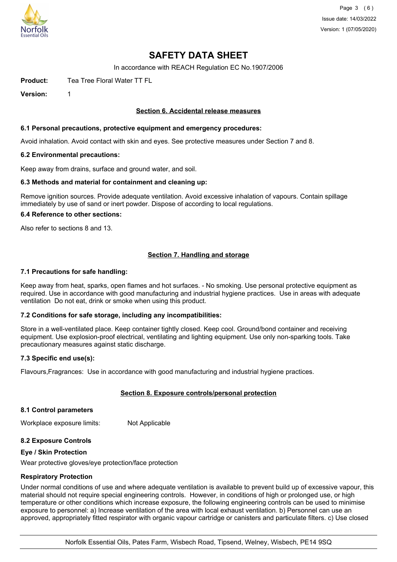

Page 3 (6) Issue date: 14/03/2022 Version: 1 (07/05/2020)

## **SAFETY DATA SHEET**

In accordance with REACH Regulation EC No.1907/2006

**Product:** Tea Tree Floral Water TT FL

**Version:** 1

#### **Section 6. Accidental release measures**

#### **6.1 Personal precautions, protective equipment and emergency procedures:**

Avoid inhalation. Avoid contact with skin and eyes. See protective measures under Section 7 and 8.

#### **6.2 Environmental precautions:**

Keep away from drains, surface and ground water, and soil.

#### **6.3 Methods and material for containment and cleaning up:**

Remove ignition sources. Provide adequate ventilation. Avoid excessive inhalation of vapours. Contain spillage immediately by use of sand or inert powder. Dispose of according to local regulations.

#### **6.4 Reference to other sections:**

Also refer to sections 8 and 13.

## **Section 7. Handling and storage**

#### **7.1 Precautions for safe handling:**

Keep away from heat, sparks, open flames and hot surfaces. - No smoking. Use personal protective equipment as required. Use in accordance with good manufacturing and industrial hygiene practices. Use in areas with adequate ventilation Do not eat, drink or smoke when using this product.

#### **7.2 Conditions for safe storage, including any incompatibilities:**

Store in a well-ventilated place. Keep container tightly closed. Keep cool. Ground/bond container and receiving equipment. Use explosion-proof electrical, ventilating and lighting equipment. Use only non-sparking tools. Take precautionary measures against static discharge.

#### **7.3 Specific end use(s):**

Flavours,Fragrances: Use in accordance with good manufacturing and industrial hygiene practices.

## **Section 8. Exposure controls/personal protection**

#### **8.1 Control parameters**

Workplace exposure limits: Not Applicable

#### **8.2 Exposure Controls**

#### **Eye / Skin Protection**

Wear protective gloves/eye protection/face protection

#### **Respiratory Protection**

Under normal conditions of use and where adequate ventilation is available to prevent build up of excessive vapour, this material should not require special engineering controls. However, in conditions of high or prolonged use, or high temperature or other conditions which increase exposure, the following engineering controls can be used to minimise exposure to personnel: a) Increase ventilation of the area with local exhaust ventilation. b) Personnel can use an approved, appropriately fitted respirator with organic vapour cartridge or canisters and particulate filters. c) Use closed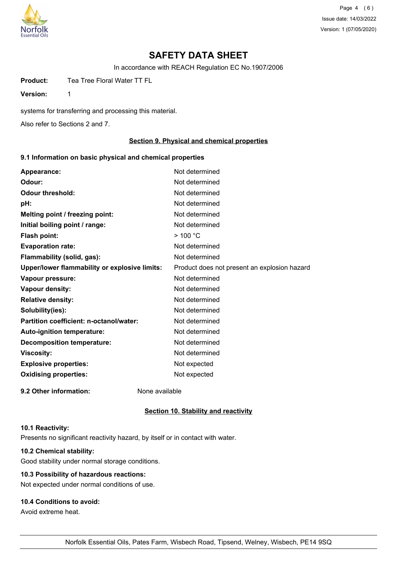

Page 4 (6) Issue date: 14/03/2022 Version: 1 (07/05/2020)

## **SAFETY DATA SHEET**

In accordance with REACH Regulation EC No.1907/2006

**Product:** Tea Tree Floral Water TT FL

**Version:** 1

systems for transferring and processing this material.

Also refer to Sections 2 and 7.

## **Section 9. Physical and chemical properties**

## **9.1 Information on basic physical and chemical properties**

| Appearance:                                   | Not determined                               |
|-----------------------------------------------|----------------------------------------------|
| Odour:                                        | Not determined                               |
| <b>Odour threshold:</b>                       | Not determined                               |
| pH:                                           | Not determined                               |
| Melting point / freezing point:               | Not determined                               |
| Initial boiling point / range:                | Not determined                               |
| Flash point:                                  | $>$ 100 °C                                   |
| <b>Evaporation rate:</b>                      | Not determined                               |
| Flammability (solid, gas):                    | Not determined                               |
| Upper/lower flammability or explosive limits: | Product does not present an explosion hazard |
| Vapour pressure:                              | Not determined                               |
| Vapour density:                               | Not determined                               |
| <b>Relative density:</b>                      | Not determined                               |
| Solubility(ies):                              | Not determined                               |
| Partition coefficient: n-octanol/water:       | Not determined                               |
| Auto-ignition temperature:                    | Not determined                               |
| <b>Decomposition temperature:</b>             | Not determined                               |
| <b>Viscosity:</b>                             | Not determined                               |
| <b>Explosive properties:</b>                  | Not expected                                 |
| <b>Oxidising properties:</b>                  | Not expected                                 |
| 9.2 Other information:                        | None available                               |

#### **Section 10. Stability and reactivity**

#### **10.1 Reactivity:**

Presents no significant reactivity hazard, by itself or in contact with water.

## **10.2 Chemical stability:**

Good stability under normal storage conditions.

## **10.3 Possibility of hazardous reactions:**

Not expected under normal conditions of use.

## **10.4 Conditions to avoid:**

Avoid extreme heat.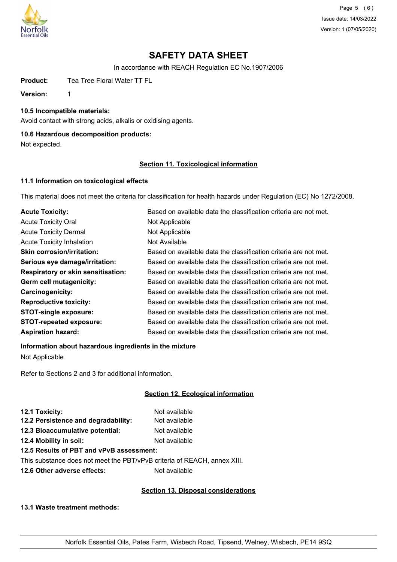

Page 5 (6) Issue date: 14/03/2022 Version: 1 (07/05/2020)

## **SAFETY DATA SHEET**

In accordance with REACH Regulation EC No.1907/2006

**Product:** Tea Tree Floral Water TT FL

**Version:** 1

**10.5 Incompatible materials:**

Avoid contact with strong acids, alkalis or oxidising agents.

## **10.6 Hazardous decomposition products:**

Not expected.

## **Section 11. Toxicological information**

## **11.1 Information on toxicological effects**

This material does not meet the criteria for classification for health hazards under Regulation (EC) No 1272/2008.

| <b>Acute Toxicity:</b>                    | Based on available data the classification criteria are not met. |
|-------------------------------------------|------------------------------------------------------------------|
| <b>Acute Toxicity Oral</b>                | Not Applicable                                                   |
| <b>Acute Toxicity Dermal</b>              | Not Applicable                                                   |
| <b>Acute Toxicity Inhalation</b>          | Not Available                                                    |
| <b>Skin corrosion/irritation:</b>         | Based on available data the classification criteria are not met. |
| Serious eye damage/irritation:            | Based on available data the classification criteria are not met. |
| <b>Respiratory or skin sensitisation:</b> | Based on available data the classification criteria are not met. |
| Germ cell mutagenicity:                   | Based on available data the classification criteria are not met. |
| <b>Carcinogenicity:</b>                   | Based on available data the classification criteria are not met. |
| <b>Reproductive toxicity:</b>             | Based on available data the classification criteria are not met. |
| <b>STOT-single exposure:</b>              | Based on available data the classification criteria are not met. |
| <b>STOT-repeated exposure:</b>            | Based on available data the classification criteria are not met. |
| <b>Aspiration hazard:</b>                 | Based on available data the classification criteria are not met. |

## **Information about hazardous ingredients in the mixture**

Not Applicable

Refer to Sections 2 and 3 for additional information.

## **Section 12. Ecological information**

| 12.1 Toxicity:                      | Not available |
|-------------------------------------|---------------|
| 12.2 Persistence and degradability: | Not available |
| 12.3 Bioaccumulative potential:     | Not available |
| 12.4 Mobility in soil:              | Not available |
|                                     |               |

## **12.5 Results of PBT and vPvB assessment:**

This substance does not meet the PBT/vPvB criteria of REACH, annex XIII.

**12.6 Other adverse effects:** Not available

## **Section 13. Disposal considerations**

**13.1 Waste treatment methods:**